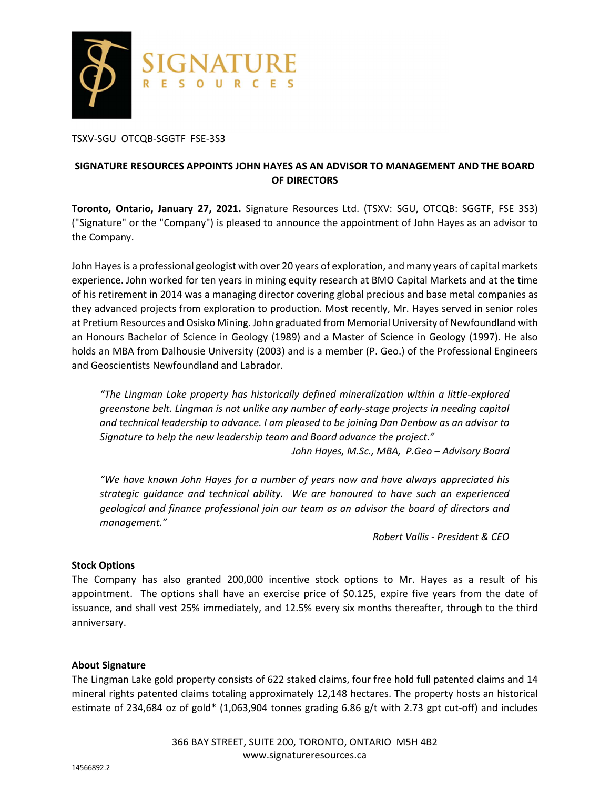

TSXV-SGU OTCQB-SGGTF FSE-3S3

# **SIGNATURE RESOURCES APPOINTS JOHN HAYES AS AN ADVISOR TO MANAGEMENT AND THE BOARD OF DIRECTORS**

**Toronto, Ontario, January 27, 2021.** Signature Resources Ltd. (TSXV: SGU, OTCQB: SGGTF, FSE 3S3) ("Signature" or the "Company") is pleased to announce the appointment of John Hayes as an advisor to the Company.

John Hayes is a professional geologist with over 20 years of exploration, and many years of capital markets experience. John worked for ten years in mining equity research at BMO Capital Markets and at the time of his retirement in 2014 was a managing director covering global precious and base metal companies as they advanced projects from exploration to production. Most recently, Mr. Hayes served in senior roles at Pretium Resources and Osisko Mining. John graduated from Memorial University of Newfoundland with an Honours Bachelor of Science in Geology (1989) and a Master of Science in Geology (1997). He also holds an MBA from Dalhousie University (2003) and is a member (P. Geo.) of the Professional Engineers and Geoscientists Newfoundland and Labrador.

*"The Lingman Lake property has historically defined mineralization within a little-explored greenstone belt. Lingman is not unlike any number of early-stage projects in needing capital and technical leadership to advance. I am pleased to be joining Dan Denbow as an advisor to Signature to help the new leadership team and Board advance the project."* 

*John Hayes, M.Sc., MBA, P.Geo – Advisory Board* 

*"We have known John Hayes for a number of years now and have always appreciated his strategic guidance and technical ability. We are honoured to have such an experienced geological and finance professional join our team as an advisor the board of directors and management."* 

*Robert Vallis - President & CEO* 

### **Stock Options**

The Company has also granted 200,000 incentive stock options to Mr. Hayes as a result of his appointment. The options shall have an exercise price of \$0.125, expire five years from the date of issuance, and shall vest 25% immediately, and 12.5% every six months thereafter, through to the third anniversary.

### **About Signature**

The Lingman Lake gold property consists of 622 staked claims, four free hold full patented claims and 14 mineral rights patented claims totaling approximately 12,148 hectares. The property hosts an historical estimate of 234,684 oz of gold\* (1,063,904 tonnes grading 6.86 g/t with 2.73 gpt cut-off) and includes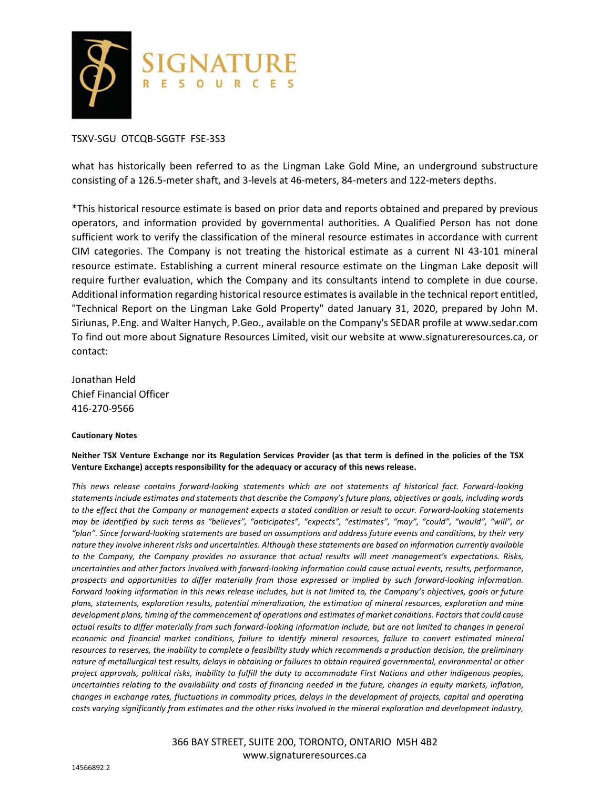

### TSXV-SGU OTCQB-SGGTF FSE-3S3

what has historically been referred to as the Lingman Lake Gold Mine, an underground substructure consisting of a 126.5-meter shaft, and 3-levels at 46-meters, 84-meters and 122-meters depths.

\*This historical resource estimate is based on prior data and reports obtained and prepared by previous operators, and information provided by governmental authorities. A Qualified Person has not done sufficient work to verify the classification of the mineral resource estimates in accordance with current CIM categories. The Company is not treating the historical estimate as a current NI 43-101 mineral resource estimate. Establishing a current mineral resource estimate on the Lingman Lake deposit will require further evaluation, which the Company and its consultants intend to complete in due course. Additional information regarding historical resource estimates is available in the technical report entitled, "Technical Report on the Lingman Lake Gold Property" dated January 31, 2020, prepared by John M. Siriunas, P.Eng. and Walter Hanych, P.Geo., available on the Company's SEDAR profile at www.sedar.com To find out more about Signature Resources Limited, visit our website at www.signatureresources.ca, or contact:

Jonathan Held Chief Financial Officer 416-270-9566

#### **Cautionary Notes**

**Neither TSX Venture Exchange nor its Regulation Services Provider (as that term is defined in the policies of the TSX Venture Exchange) accepts responsibility for the adequacy or accuracy of this news release.**

*This news release contains forward-looking statements which are not statements of historical fact. Forward-looking statements include estimates and statements that describe the Company's future plans, objectives or goals, including words to the effect that the Company or management expects a stated condition or result to occur. Forward-looking statements may be identified by such terms as "believes", "anticipates", "expects", "estimates", "may", "could", "would", "will", or "plan". Since forward-looking statements are based on assumptions and address future events and conditions, by their very nature they involve inherent risks and uncertainties. Although these statements are based on information currently available to the Company, the Company provides no assurance that actual results will meet management's expectations. Risks, uncertainties and other factors involved with forward-looking information could cause actual events, results, performance, prospects and opportunities to differ materially from those expressed or implied by such forward-looking information. Forward looking information in this news release includes, but is not limited to, the Company's objectives, goals or future plans, statements, exploration results, potential mineralization, the estimation of mineral resources, exploration and mine development plans, timing of the commencement of operations and estimates of market conditions. Factors that could cause actual results to differ materially from such forward-looking information include, but are not limited to changes in general economic and financial market conditions, failure to identify mineral resources, failure to convert estimated mineral resources to reserves, the inability to complete a feasibility study which recommends a production decision, the preliminary nature of metallurgical test results, delays in obtaining or failures to obtain required governmental, environmental or other project approvals, political risks, inability to fulfill the duty to accommodate First Nations and other indigenous peoples, uncertainties relating to the availability and costs of financing needed in the future, changes in equity markets, inflation, changes in exchange rates, fluctuations in commodity prices, delays in the development of projects, capital and operating costs varying significantly from estimates and the other risks involved in the mineral exploration and development industry,* 

> 366 BAY STREET, SUITE 200, TORONTO, ONTARIO M5H 4B2 www.signatureresources.ca